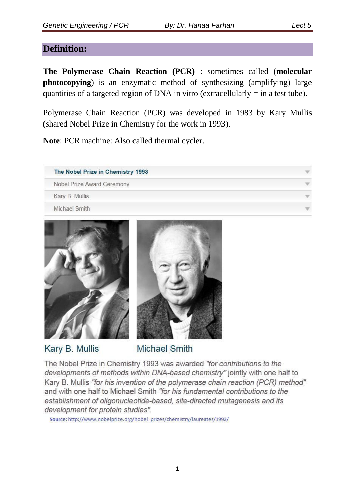## **Definition:**

**The Polymerase Chain Reaction (PCR)** : sometimes called (**molecular photocopying**) is an enzymatic method of synthesizing (amplifying) large quantities of a targeted region of DNA in vitro (extracellularly  $=$  in a test tube).

Polymerase Chain Reaction (PCR) was developed in 1983 by Kary Mullis (shared Nobel Prize in Chemistry for the work in 1993).

**Note**: PCR machine: Also called thermal cycler.

| The Nobel Prize in Chemistry 1993 |  |
|-----------------------------------|--|
| Nobel Prize Award Ceremony        |  |
| Kary B. Mullis                    |  |
| Michael Smith                     |  |





Kary B. Mullis

**Michael Smith** 

The Nobel Prize in Chemistry 1993 was awarded "for contributions to the developments of methods within DNA-based chemistry" jointly with one half to Kary B. Mullis "for his invention of the polymerase chain reaction (PCR) method" and with one half to Michael Smith "for his fundamental contributions to the establishment of oligonucleotide-based, site-directed mutagenesis and its development for protein studies".

Source: http://www.nobelprize.org/nobel\_prizes/chemistry/laureates/1993/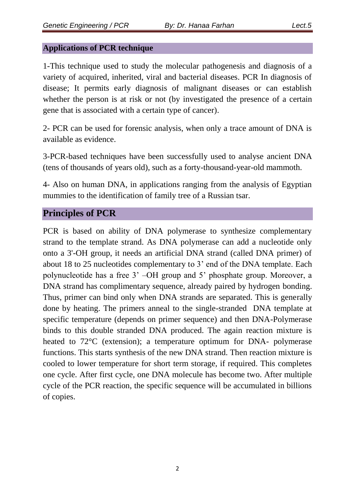#### **Applications of PCR technique**

1-This technique used to study the molecular pathogenesis and diagnosis of a variety of acquired, inherited, viral and bacterial diseases. PCR In diagnosis of disease; It permits early diagnosis of malignant diseases or can establish whether the person is at risk or not (by investigated the presence of a certain gene that is associated with a certain type of cancer).

2- PCR can be used for forensic analysis, when only a trace amount of DNA is available as evidence.

3-PCR-based techniques have been successfully used to analyse ancient DNA (tens of thousands of years old), such as a forty-thousand-year-old mammoth.

4- Also on human DNA, in applications ranging from the analysis of Egyptian mummies to the identification of family tree of a Russian tsar.

# **Principles of PCR**

PCR is based on ability of DNA polymerase to synthesize complementary strand to the template strand. As DNA polymerase can add a nucleotide only onto a 3'-OH group, it needs an artificial DNA strand (called DNA primer) of about 18 to 25 nucleotides complementary to 3' end of the DNA template. Each polynucleotide has a free 3' –OH group and 5' phosphate group. Moreover, a DNA strand has complimentary sequence, already paired by hydrogen bonding. Thus, primer can bind only when DNA strands are separated. This is generally done by heating. The primers anneal to the single-stranded DNA template at specific temperature (depends on primer sequence) and then DNA-Polymerase binds to this double stranded DNA produced. The again reaction mixture is heated to 72<sup>o</sup>C (extension); a temperature optimum for DNA- polymerase functions. This starts synthesis of the new DNA strand. Then reaction mixture is cooled to lower temperature for short term storage, if required. This completes one cycle. After first cycle, one DNA molecule has become two. After multiple cycle of the PCR reaction, the specific sequence will be accumulated in billions of copies.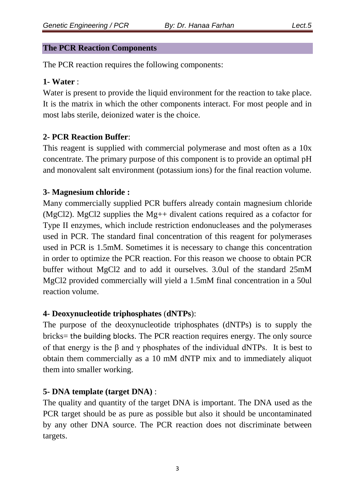#### **The PCR Reaction Components**

The PCR reaction requires the following components:

#### **1- Water** :

Water is present to provide the liquid environment for the reaction to take place. It is the matrix in which the other components interact. For most people and in most labs sterile, deionized water is the choice.

# **2- PCR Reaction Buffer**:

This reagent is supplied with commercial polymerase and most often as a 10x concentrate. The primary purpose of this component is to provide an optimal pH and monovalent salt environment (potassium ions) for the final reaction volume.

## **3- Magnesium chloride :**

Many commercially supplied PCR buffers already contain magnesium chloride (MgCl2). MgCl2 supplies the Mg++ divalent cations required as a cofactor for Type II enzymes, which include restriction endonucleases and the polymerases used in PCR. The standard final concentration of this reagent for polymerases used in PCR is 1.5mM. Sometimes it is necessary to change this concentration in order to optimize the PCR reaction. For this reason we choose to obtain PCR buffer without MgCl2 and to add it ourselves. 3.0ul of the standard 25mM MgCl2 provided commercially will yield a 1.5mM final concentration in a 50ul reaction volume.

## **4- Deoxynucleotide triphosphates** (**dNTPs**):

The purpose of the deoxynucleotide triphosphates (dNTPs) is to supply the bricks= the building blocks. The PCR reaction requires energy. The only source of that energy is the  $\beta$  and  $\gamma$  phosphates of the individual dNTPs. It is best to obtain them commercially as a 10 mM dNTP mix and to immediately aliquot them into smaller working.

## **5- DNA template (target DNA)** :

The quality and quantity of the target DNA is important. The DNA used as the PCR target should be as pure as possible but also it should be uncontaminated by any other DNA source. The PCR reaction does not discriminate between targets.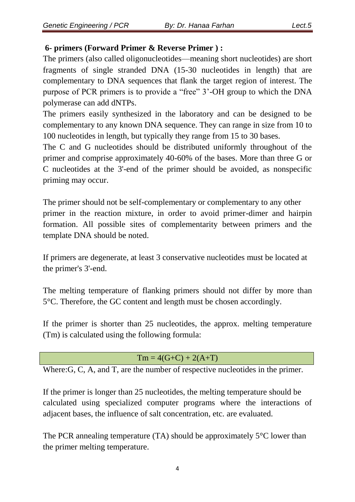## **6- primers (Forward Primer & Reverse Primer ) :**

The primers (also called oligonucleotides—meaning short nucleotides) are short fragments of single stranded DNA (15-30 nucleotides in length) that are complementary to DNA sequences that flank the target region of interest. The purpose of PCR primers is to provide a "free" 3'-OH group to which the DNA polymerase can add dNTPs.

The primers easily synthesized in the laboratory and can be designed to be complementary to any known DNA sequence. They can range in size from 10 to 100 nucleotides in length, but typically they range from 15 to 30 bases.

The C and G nucleotides should be distributed uniformly throughout of the primer and comprise approximately 40-60% of the bases. More than three G or C nucleotides at the 3'-end of the primer should be avoided, as nonspecific priming may occur.

The primer should not be self-complementary or complementary to any other primer in the reaction mixture, in order to avoid primer-dimer and hairpin formation. All possible sites of complementarity between primers and the template DNA should be noted.

If primers are degenerate, at least 3 conservative nucleotides must be located at the primer's 3'-end.

The melting temperature of flanking primers should not differ by more than 5°C. Therefore, the GC content and length must be chosen accordingly.

If the primer is shorter than 25 nucleotides, the approx. melting temperature (Tm) is calculated using the following formula:

# $Tm = 4(G+C) + 2(A+T)$

Where: G, C, A, and T, are the number of respective nucleotides in the primer.

If the primer is longer than 25 nucleotides, the melting temperature should be calculated using specialized computer programs where the interactions of adjacent bases, the influence of salt concentration, etc. are evaluated.

The PCR annealing temperature (TA) should be approximately 5°C lower than the primer melting temperature.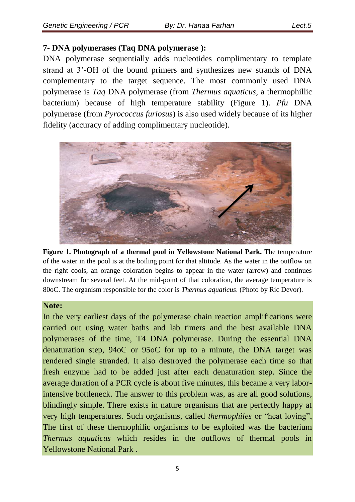## **7- DNA polymerases (Taq DNA polymerase ):**

DNA polymerase sequentially adds nucleotides complimentary to template strand at 3'-OH of the bound primers and synthesizes new strands of DNA complementary to the target sequence. The most commonly used DNA polymerase is *Taq* DNA polymerase (from *Thermus aquaticus,* a thermophillic bacterium) because of high temperature stability (Figure 1). *Pfu* DNA polymerase (from *Pyrococcus furiosus*) is also used widely because of its higher fidelity (accuracy of adding complimentary nucleotide).



**Figure 1. Photograph of a thermal pool in Yellowstone National Park.** The temperature of the water in the pool is at the boiling point for that altitude. As the water in the outflow on the right cools, an orange coloration begins to appear in the water (arrow) and continues downstream for several feet. At the mid-point of that coloration, the average temperature is 80oC. The organism responsible for the color is *Thermus aquaticus*. (Photo by Ric Devor).

#### **Note:**

In the very earliest days of the polymerase chain reaction amplifications were carried out using water baths and lab timers and the best available DNA polymerases of the time, T4 DNA polymerase. During the essential DNA denaturation step, 94oC or 95oC for up to a minute, the DNA target was rendered single stranded. It also destroyed the polymerase each time so that fresh enzyme had to be added just after each denaturation step. Since the average duration of a PCR cycle is about five minutes, this became a very laborintensive bottleneck. The answer to this problem was, as are all good solutions, blindingly simple. There exists in nature organisms that are perfectly happy at very high temperatures. Such organisms, called *thermophiles* or "heat loving", The first of these thermophilic organisms to be exploited was the bacterium *Thermus aquaticus* which resides in the outflows of thermal pools in Yellowstone National Park .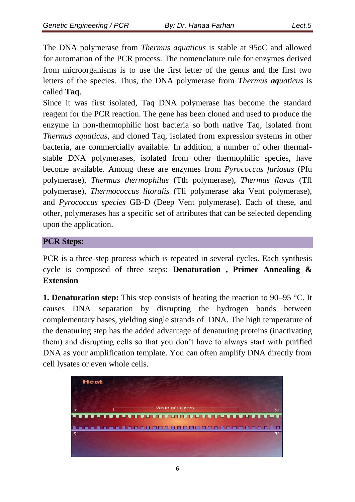The DNA polymerase from *Thermus aquaticus* is stable at 95oC and allowed for automation of the PCR process. The nomenclature rule for enzymes derived from microorganisms is to use the first letter of the genus and the first two letters of the species. Thus, the DNA polymerase from *Thermus aquaticus* is called **Taq**.

Since it was first isolated, Taq DNA polymerase has become the standard reagent for the PCR reaction. The gene has been cloned and used to produce the enzyme in non-thermophilic host bacteria so both native Taq, isolated from *Thermus aquaticus*, and cloned Taq, isolated from expression systems in other bacteria, are commercially available. In addition, a number of other thermalstable DNA polymerases, isolated from other thermophilic species, have become available. Among these are enzymes from *Pyrococcus furiosus* (Pfu polymerase), *Thermus thermophilus* (Tth polymerase), *Thermus flavus* (Tfl polymerase), *Thermococcus litoralis* (Tli polymerase aka Vent polymerase), and *Pyrococcus species* GB-D (Deep Vent polymerase). Each of these, and other, polymerases has a specific set of attributes that can be selected depending upon the application.

#### **PCR Steps:**

PCR is a three-step process which is repeated in several cycles. Each synthesis cycle is composed of three steps: **Denaturation , Primer Annealing & Extension**

**1. Denaturation step:** This step consists of heating the reaction to 90–95 °C. It causes DNA separation by disrupting the hydrogen bonds between complementary bases, yielding single strands of DNA. The high temperature of the denaturing step has the added advantage of denaturing proteins (inactivating them) and disrupting cells so that you don't have to always start with purified DNA as your amplification template. You can often amplify DNA directly from cell lysates or even whole cells.